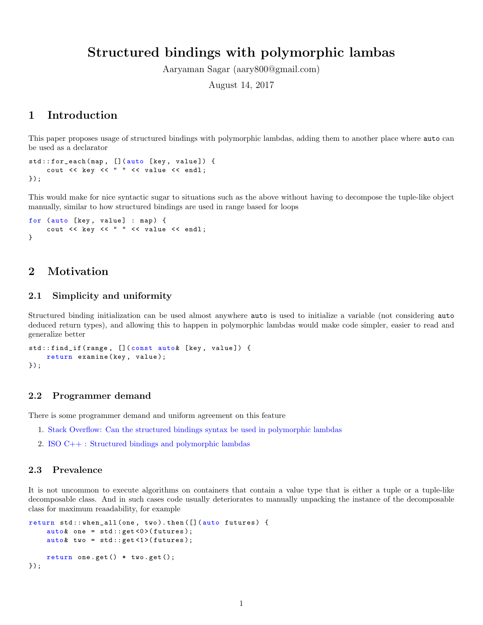# Structured bindings with polymorphic lambas

Aaryaman Sagar (aary800@gmail.com)

August 14, 2017

## 1 Introduction

This paper proposes usage of structured bindings with polymorphic lambdas, adding them to another place where auto can be used as a declarator

```
std::for_each(map, [](auto [key, value]) {
    cout << key << " " << value << endl;
});
```
This would make for nice syntactic sugar to situations such as the above without having to decompose the tuple-like object manually, similar to how structured bindings are used in range based for loops

```
for (auto [key, value] : map) {
    cout << key << " " << value << endl;
}
```
## 2 Motivation

### 2.1 Simplicity and uniformity

Structured binding initialization can be used almost anywhere auto is used to initialize a variable (not considering auto deduced return types), and allowing this to happen in polymorphic lambdas would make code simpler, easier to read and generalize better

```
std::find_if (range, [] (const auto & [key, value]) {
    return examine (key, value);
});
```
### 2.2 Programmer demand

There is some programmer demand and uniform agreement on this feature

- 1. [Stack Overflow: Can the structured bindings syntax be used in polymorphic lambdas](https://stackoverflow.com/questions/45541334)
- 2. [ISO C++ : Structured bindings and polymorphic lambdas](https://goo.gl/fRSwNg)

### 2.3 Prevalence

It is not uncommon to execute algorithms on containers that contain a value type that is either a tuple or a tuple-like decomposable class. And in such cases code usually deteriorates to manually unpacking the instance of the decomposable class for maximum reaadability, for example

```
return std:: when_all (one, two).then ([](auto futures) {
    auto & one = std::get < 0 > (futures);auto & two = std::get <1 > (futures);return one.get() * two.get();
});
```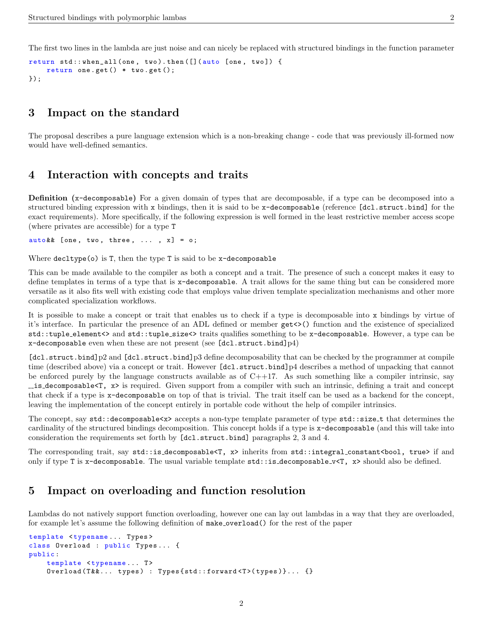The first two lines in the lambda are just noise and can nicely be replaced with structured bindings in the function parameter

```
return std:: when_all (one, two).then ([](auto [one, two]) {
    return one.get() * two.get();
});
```
## 3 Impact on the standard

The proposal describes a pure language extension which is a non-breaking change - code that was previously ill-formed now would have well-defined semantics.

## 4 Interaction with concepts and traits

Definition (x-decomposable) For a given domain of types that are decomposable, if a type can be decomposed into a structured binding expression with x bindings, then it is said to be x-decomposable (reference [dcl.struct.bind] for the exact requirements). More specifically, if the following expression is well formed in the least restrictive member access scope (where privates are accessible) for a type T

 $auto$  &  $[one, two, three, ... , x] = o;$ 

Where  $\text{dedtype}(o)$  is T, then the type T is said to be x-decomposable

This can be made available to the compiler as both a concept and a trait. The presence of such a concept makes it easy to define templates in terms of a type that is x-decomposable. A trait allows for the same thing but can be considered more versatile as it also fits well with existing code that employs value driven template specialization mechanisms and other more complicated specialization workflows.

It is possible to make a concept or trait that enables us to check if a type is decomposable into x bindings by virtue of it's interface. In particular the presence of an ADL defined or member get<>() function and the existence of specialized std::tuple element<> and std::tuple size<> traits qualifies something to be x-decomposable. However, a type can be  $x$ -decomposable even when these are not present (see [dcl.struct.bind]p4)

[dcl.struct.bind]p2 and [dcl.struct.bind]p3 define decomposability that can be checked by the programmer at compile time (described above) via a concept or trait. However [dcl.struct.bind]p4 describes a method of unpacking that cannot be enforced purely by the language constructs available as of  $C++17$ . As such something like a compiler intrinsic, say  $\text{is-decomposable}$ ,  $x$  is required. Given support from a compiler with such an intrinsic, defining a trait and concept that check if a type is x-decomposable on top of that is trivial. The trait itself can be used as a backend for the concept, leaving the implementation of the concept entirely in portable code without the help of compiler intrinsics.

The concept, say std::decomposable<x> accepts a non-type template parameter of type std::size\_t that determines the cardinality of the structured bindings decomposition. This concept holds if a type is x-decomposable (and this will take into consideration the requirements set forth by [dcl.struct.bind] paragraphs 2, 3 and 4.

The corresponding trait, say std::is\_decomposable<T, x> inherits from std::integral\_constant<br/>bool, true> if and only if type T is x-decomposable. The usual variable template std::is decomposable v<T, x> should also be defined.

## 5 Impact on overloading and function resolution

Lambdas do not natively support function overloading, however one can lay out lambdas in a way that they are overloaded, for example let's assume the following definition of make\_overload() for the rest of the paper

```
template <typename... Types>
class Overload : public Types ... {
public :
    template <typename... T>
    Overload (T&&... types) : Types { std:: forward <T>(types) }... {}
```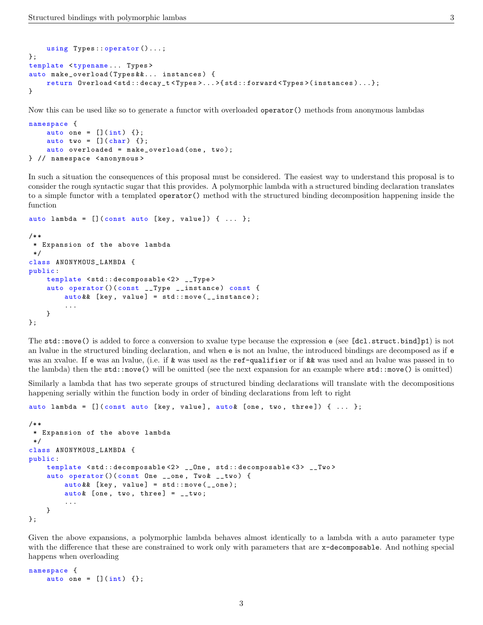```
using Types:: operator ()...;
};
template <typename ... Types >
auto make_overload ( Types &&... instances ) {
    return Overload < std :: decay_t < Types >... >{ std :: forward < Types >( instances )...};
}
```
Now this can be used like so to generate a functor with overloaded operator() methods from anonymous lambdas

```
namespace {
    auto one = [](int) {};
    auto two = [] (char) \{\};
    auto overloaded = make_overload (one, two);
} // namespace < anonymous >
```
In such a situation the consequences of this proposal must be considered. The easiest way to understand this proposal is to consider the rough syntactic sugar that this provides. A polymorphic lambda with a structured binding declaration translates to a simple functor with a templated operator() method with the structured binding decomposition happening inside the function

```
auto lambda = [] (const auto [key, value]) { ... };
/* *
* Expansion of the above lambda
 */
class ANONYMOUS_LAMBDA {
public :
    template <std:: decomposable<2> __Type>
    auto operator ()( const __Type __instance ) const {
        auto& [key, value] = std::move(__instance);
        ...
    }
};
```
The std::move() is added to force a conversion to xvalue type because the expression e (see [dcl.struct.bind]p1) is not an lvalue in the structured binding declaration, and when e is not an lvalue, the introduced bindings are decomposed as if e was an xvalue. If e was an lvalue, (i.e. if & was used as the ref-qualifier or if && was used and an lvalue was passed in to the lambda) then the std::move() will be omitted (see the next expansion for an example where std::move() is omitted)

Similarly a lambda that has two seperate groups of structured binding declarations will translate with the decompositions happening serially within the function body in order of binding declarations from left to right

```
auto lambda = [](const auto [key, value], auto & [one, two, three]) \{ \ldots \};
/* *
 * Expansion of the above lambda
*/
class ANONYMOUS_LAMBDA {
public :
    template <std::decomposable<2> __One, std::decomposable<3> __Two>
    auto operator () (const One __one, Two & __two) {
        auto& [key, value] = std::move(__one);
        auto & [one, two, three] = __two;...
    }
};
```
Given the above expansions, a polymorphic lambda behaves almost identically to a lambda with a auto parameter type with the difference that these are constrained to work only with parameters that are x-decomposable. And nothing special happens when overloading

```
namespace {
    auto one = [](int) {};
```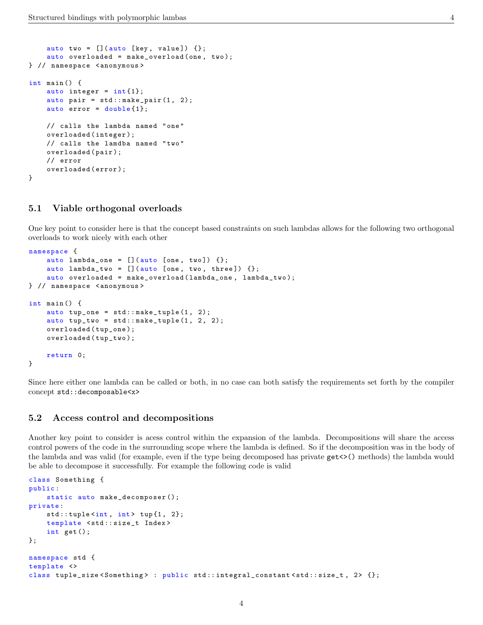```
auto two = [] (auto [key, value]) \{\};
    auto overloaded = make_overload (one, two);
} // namespace < anonymous >
int main () {
    auto integer = int(1);
    auto pair = std::make\_pair(1, 2);auto error = double{1};
    // calls the lambda named " one "
    overloaded ( integer );
    // calls the lamdba named " two "
    overloaded ( pair );
    // error
    overloaded ( error );
}
```
#### 5.1 Viable orthogonal overloads

One key point to consider here is that the concept based constraints on such lambdas allows for the following two orthogonal overloads to work nicely with each other

```
namespace {
    auto lambda_one = [] (auto [one, two]) \{\};
    auto lambda_two = [] (auto [one, two, three]) \{\};
    auto overloaded = make_overload ( lambda_one , lambda_two );
} // namespace < anonymous >
int main () {
    auto tup\_one = std::make\_tuple(1, 2);auto tup_two = std::make\_tuple(1, 2, 2);overloaded ( tup_one );
    overloaded ( tup_two );
    return 0;
}
```
Since here either one lambda can be called or both, in no case can both satisfy the requirements set forth by the compiler concept std::decomposable<x>

#### 5.2 Access control and decompositions

Another key point to consider is acess control within the expansion of the lambda. Decompositions will share the access control powers of the code in the surrounding scope where the lambda is defined. So if the decomposition was in the body of the lambda and was valid (for example, even if the type being decomposed has private get<>() methods) the lambda would be able to decompose it successfully. For example the following code is valid

```
class Something {
public :
    static auto make_decomposer ();
private :
    std::tuple<sub>int</sub>, int> tup{1, 2};template < std :: size_t Index >
    int get ();
};
namespace std {
template <>
class tuple_size < Something > : public std :: integral_constant < std :: size_t , 2 > {};
```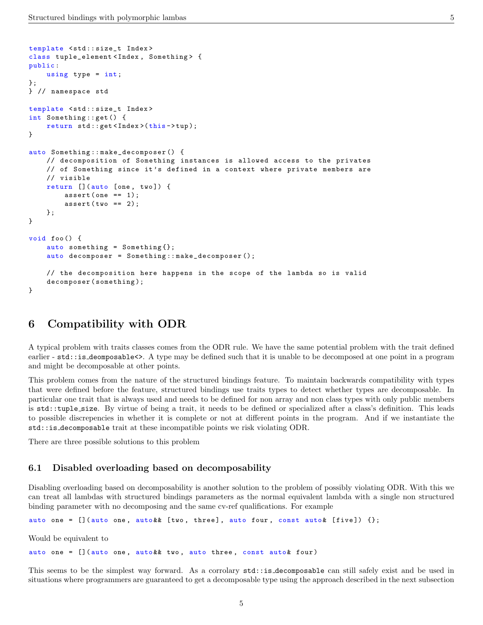```
template < std :: size_t Index >
class tuple_element < Index , Something > {
public :
    using type = int;
};
} // namespace std
template < std :: size_t Index >
int Something :: get () {
    return std:: get <Index > (this ->tup);
}
auto Something :: make_decomposer () {
    // decomposition of Something instances is allowed access to the privates
    // of Something since it 's defined in a context where private members are
    // visible
    return [](auto [one, two]) {
        assert (one == 1);assert(two == 2);};
}
void foo () {
    auto something = Something\{\};
    auto decomposer = Something :: make_decomposer ();
    // the decomposition here happens in the scope of the lambda so is valid
    decomposer ( something );
}
```
## 6 Compatibility with ODR

A typical problem with traits classes comes from the ODR rule. We have the same potential problem with the trait defined earlier - std::is\_deomposable<>. A type may be defined such that it is unable to be decomposed at one point in a program and might be decomposable at other points.

This problem comes from the nature of the structured bindings feature. To maintain backwards compatibility with types that were defined before the feature, structured bindings use traits types to detect whether types are decomposable. In particular one trait that is always used and needs to be defined for non array and non class types with only public members is std::tuple size. By virtue of being a trait, it needs to be defined or specialized after a class's definition. This leads to possible discrepencies in whether it is complete or not at different points in the program. And if we instantiate the std::is decomposable trait at these incompatible points we risk violating ODR.

There are three possible solutions to this problem

### 6.1 Disabled overloading based on decomposability

Disabling overloading based on decomposability is another solution to the problem of possibly violating ODR. With this we can treat all lambdas with structured bindings parameters as the normal equivalent lambda with a single non structured binding parameter with no decomposing and the same cv-ref qualifications. For example

auto one =  $[$ ](auto one, auto & & [two, three], auto four, const auto & [five])  $\{\}$ ;

Would be equivalent to

auto one = [](auto one, auto && two, auto three, const auto & four)

This seems to be the simplest way forward. As a corrolary std::is decomposable can still safely exist and be used in situations where programmers are guaranteed to get a decomposable type using the approach described in the next subsection

5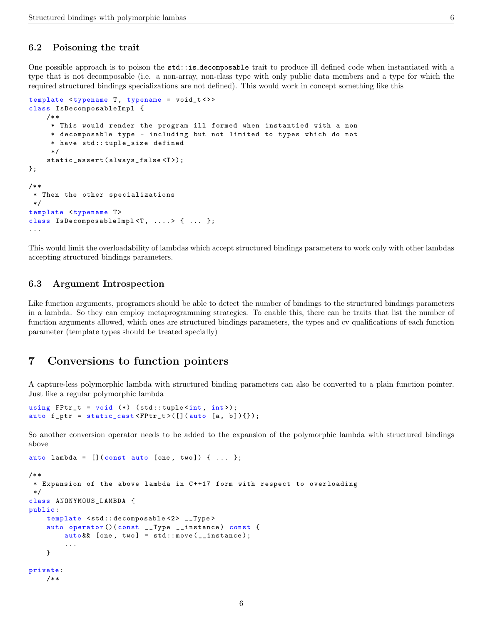### 6.2 Poisoning the trait

One possible approach is to poison the std::is decomposable trait to produce ill defined code when instantiated with a type that is not decomposable (i.e. a non-array, non-class type with only public data members and a type for which the required structured bindings specializations are not defined). This would work in concept something like this

```
template lttypename T, typename = void_tlt>>
class IsDecomposableImpl {
    /* *
     * This would render the program ill formed when instantied with a non
     * decomposable type - including but not limited to types which do not
     * have std :: tuple_size defined
     */
    static_assert ( always_false <T >);
};
/* ** Then the other specializations
 */
template <typename T>
class IsDecomposableImpl<T, ....> { ... };
...
```
This would limit the overloadability of lambdas which accept structured bindings parameters to work only with other lambdas accepting structured bindings parameters.

### 6.3 Argument Introspection

Like function arguments, programers should be able to detect the number of bindings to the structured bindings parameters in a lambda. So they can employ metaprogramming strategies. To enable this, there can be traits that list the number of function arguments allowed, which ones are structured bindings parameters, the types and cv qualifications of each function parameter (template types should be treated specially)

## 7 Conversions to function pointers

A capture-less polymorphic lambda with structured binding parameters can also be converted to a plain function pointer. Just like a regular polymorphic lambda

```
using FPtr_t = void (*) (std::tuple<int, int>);
auto f_ptr = static_cast <FPtr_t > ([](auto [a, b])\});
```
So another conversion operator needs to be added to the expansion of the polymorphic lambda with structured bindings above

```
auto lambda = [] (const auto [one, two]) { ... };
/* *
* Expansion of the above lambda in C ++17 form with respect to overloading
*/
class ANONYMOUS_LAMBDA {
public :
    template <std:: decomposable<2> __Type>
    auto operator ()( const __Type __instance ) const {
        auto& [one, two] = std::move(__instance);
        ...
    }
private :
    /* *
```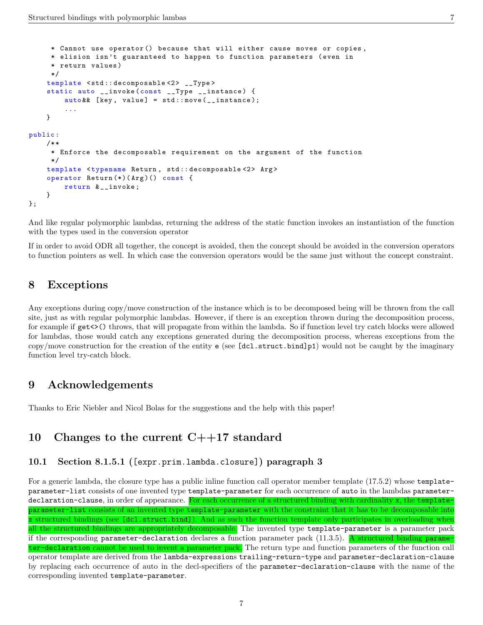```
* Cannot use operator () because that will either cause moves or copies ,
     * elision isn 't guaranteed to happen to function parameters ( even in
     * return values )
     */
    template <std::decomposable<2> __Type>
    static auto __invoke ( const __Type __instance ) {
        auto& [key, value] = std::move(__instance);
        ...
    }
public :
    /* *
     * Enforce the decomposable requirement on the argument of the function
     */
    template <typename Return, std:: decomposable <2> Arg>
    operator Return (*)( Arg )() const {
        return & __invoke ;
    }
};
```
And like regular polymorphic lambdas, returning the address of the static function invokes an instantiation of the function with the types used in the conversion operator

If in order to avoid ODR all together, the concept is avoided, then the concept should be avoided in the conversion operators to function pointers as well. In which case the conversion operators would be the same just without the concept constraint.

## 8 Exceptions

Any exceptions during copy/move construction of the instance which is to be decomposed being will be thrown from the call site, just as with regular polymorphic lambdas. However, if there is an exception thrown during the decomposition process, for example if  $get \leq \$  throws, that will propagate from within the lambda. So if function level try catch blocks were allowed for lambdas, those would catch any exceptions generated during the decomposition process, whereas exceptions from the copy/move construction for the creation of the entity  $e$  (see [dcl.struct.bind]p1) would not be caught by the imaginary function level try-catch block.

## 9 Acknowledgements

Thanks to Eric Niebler and Nicol Bolas for the suggestions and the help with this paper!

## 10 Changes to the current  $C++17$  standard

#### 10.1 Section 8.1.5.1 ([expr.prim.lambda.closure]) paragraph 3

For a generic lambda, the closure type has a public inline function call operator member template (17.5.2) whose templateparameter-list consists of one invented type template-parameter for each occurrence of auto in the lambdas parameterdeclaration-clause, in order of appearance. For each occurrence of a structured binding with cardinality x, the templateparameter-list consists of an invented type template-parameter with the constraint that it has to be decomposable into x structured bindings (see [dcl.struct.bind]). And as such the function template only participates in overloading when all the structured bindings are appropriately decomposable. The invented type template-parameter is a parameter pack if the corresponding parameter-declaration declares a function parameter pack  $(11.3.5)$ . A structured binding parameter-declaration cannot be used to invent a parameter pack. The return type and function parameters of the function call operator template are derived from the lambda-expressions trailing-return-type and parameter-declaration-clause by replacing each occurrence of auto in the decl-specifiers of the parameter-declaration-clause with the name of the corresponding invented template-parameter.